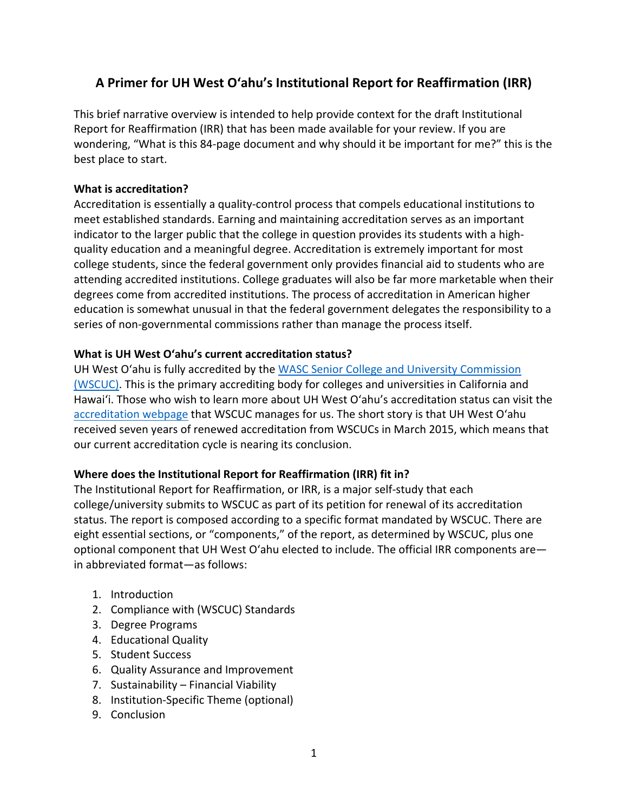## **A Primer for UH West O'ahu's Institutional Report for Reaffirmation (IRR)**

This brief narrative overview is intended to help provide context for the draft Institutional Report for Reaffirmation (IRR) that has been made available for your review. If you are wondering, "What is this 84-page document and why should it be important for me?" this is the best place to start.

#### **What is accreditation?**

Accreditation is essentially a quality-control process that compels educational institutions to meet established standards. Earning and maintaining accreditation serves as an important indicator to the larger public that the college in question provides its students with a highquality education and a meaningful degree. Accreditation is extremely important for most college students, since the federal government only provides financial aid to students who are attending accredited institutions. College graduates will also be far more marketable when their degrees come from accredited institutions. The process of accreditation in American higher education is somewhat unusual in that the federal government delegates the responsibility to a series of non-governmental commissions rather than manage the process itself.

### **What is UH West O'ahu's current accreditation status?**

UH West O'ahu is fully accredited by the [WASC Senior College and University Commission](https://www.wscuc.org/)  [\(WSCUC\).](https://www.wscuc.org/) This is the primary accrediting body for colleges and universities in California and Hawai'i. Those who wish to learn more about UH West O'ahu's accreditation status can visit the [accreditation webpage](https://www.wscuc.org/institutions/university-hawai%E2%80%98i-west-o%E2%80%98ahu) that WSCUC manages for us. The short story is that UH West O'ahu received seven years of renewed accreditation from WSCUCs in March 2015, which means that our current accreditation cycle is nearing its conclusion.

#### **Where does the Institutional Report for Reaffirmation (IRR) fit in?**

The Institutional Report for Reaffirmation, or IRR, is a major self-study that each college/university submits to WSCUC as part of its petition for renewal of its accreditation status. The report is composed according to a specific format mandated by WSCUC. There are eight essential sections, or "components," of the report, as determined by WSCUC, plus one optional component that UH West O'ahu elected to include. The official IRR components are in abbreviated format—as follows:

- 1. Introduction
- 2. Compliance with (WSCUC) Standards
- 3. Degree Programs
- 4. Educational Quality
- 5. Student Success
- 6. Quality Assurance and Improvement
- 7. Sustainability Financial Viability
- 8. Institution-Specific Theme (optional)
- 9. Conclusion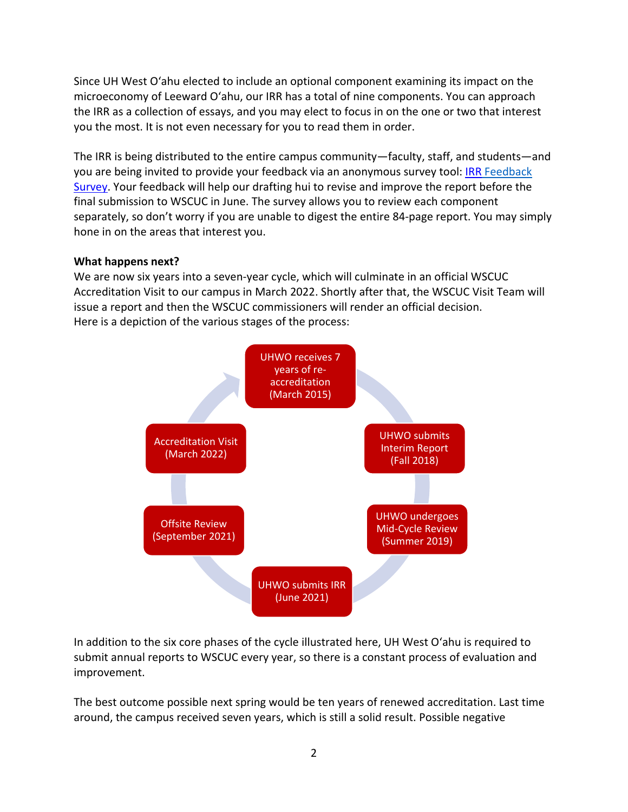Since UH West O'ahu elected to include an optional component examining its impact on the microeconomy of Leeward O'ahu, our IRR has a total of nine components. You can approach the IRR as a collection of essays, and you may elect to focus in on the one or two that interest you the most. It is not even necessary for you to read them in order.

The IRR is being distributed to the entire campus community—faculty, staff, and students—and you are being invited to provide your feedback via an anonymous survey tool[: IRR Feedback](https://hawaiiwestoahu.co1.qualtrics.com/jfe/form/SV_0vm8Vx2IJU2ceMK)  [Survey.](https://hawaiiwestoahu.co1.qualtrics.com/jfe/form/SV_0vm8Vx2IJU2ceMK) Your feedback will help our drafting hui to revise and improve the report before the final submission to WSCUC in June. The survey allows you to review each component separately, so don't worry if you are unable to digest the entire 84-page report. You may simply hone in on the areas that interest you.

#### **What happens next?**

We are now six years into a seven-year cycle, which will culminate in an official WSCUC Accreditation Visit to our campus in March 2022. Shortly after that, the WSCUC Visit Team will issue a report and then the WSCUC commissioners will render an official decision. Here is a depiction of the various stages of the process:



In addition to the six core phases of the cycle illustrated here, UH West O'ahu is required to submit annual reports to WSCUC every year, so there is a constant process of evaluation and improvement.

The best outcome possible next spring would be ten years of renewed accreditation. Last time around, the campus received seven years, which is still a solid result. Possible negative